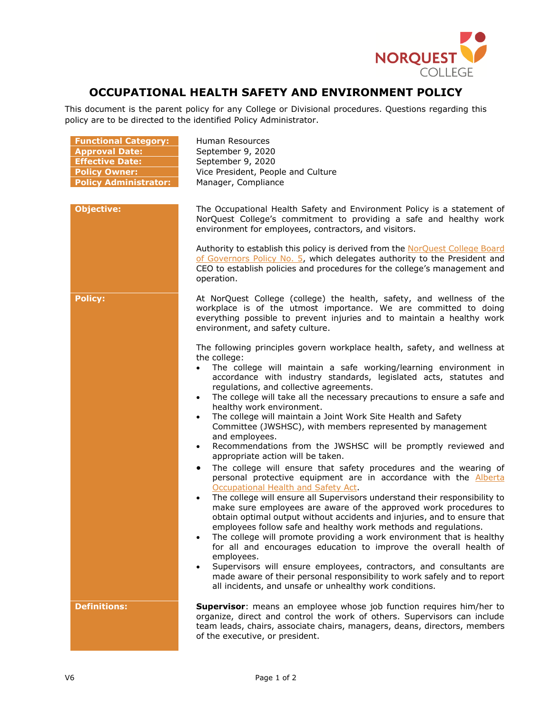

## **OCCUPATIONAL HEALTH SAFETY AND ENVIRONMENT POLICY**

This document is the parent policy for any College or Divisional procedures. Questions regarding this policy are to be directed to the identified Policy Administrator.

| <b>Functional Category:</b><br><b>Approval Date:</b><br><b>Effective Date:</b><br><b>Policy Owner:</b><br><b>Policy Administrator:</b> | Human Resources<br>September 9, 2020<br>September 9, 2020<br>Vice President, People and Culture<br>Manager, Compliance                                                                                                                                                                                                                                                                                                                                                                                                                                                                                                                                                                                                                                                                                                                                                                                                                                                                                                                                                                                                                                                                                                                                                                                                                                                                                                                                                                                                                                                                                                                                                                                                                                                                                                                                        |
|----------------------------------------------------------------------------------------------------------------------------------------|---------------------------------------------------------------------------------------------------------------------------------------------------------------------------------------------------------------------------------------------------------------------------------------------------------------------------------------------------------------------------------------------------------------------------------------------------------------------------------------------------------------------------------------------------------------------------------------------------------------------------------------------------------------------------------------------------------------------------------------------------------------------------------------------------------------------------------------------------------------------------------------------------------------------------------------------------------------------------------------------------------------------------------------------------------------------------------------------------------------------------------------------------------------------------------------------------------------------------------------------------------------------------------------------------------------------------------------------------------------------------------------------------------------------------------------------------------------------------------------------------------------------------------------------------------------------------------------------------------------------------------------------------------------------------------------------------------------------------------------------------------------------------------------------------------------------------------------------------------------|
| <b>Objective:</b>                                                                                                                      | The Occupational Health Safety and Environment Policy is a statement of<br>NorQuest College's commitment to providing a safe and healthy work<br>environment for employees, contractors, and visitors.<br>Authority to establish this policy is derived from the NorQuest College Board<br>of Governors Policy No. 5, which delegates authority to the President and<br>CEO to establish policies and procedures for the college's management and<br>operation.                                                                                                                                                                                                                                                                                                                                                                                                                                                                                                                                                                                                                                                                                                                                                                                                                                                                                                                                                                                                                                                                                                                                                                                                                                                                                                                                                                                               |
| <b>Policy:</b>                                                                                                                         | At NorQuest College (college) the health, safety, and wellness of the<br>workplace is of the utmost importance. We are committed to doing<br>everything possible to prevent injuries and to maintain a healthy work<br>environment, and safety culture.<br>The following principles govern workplace health, safety, and wellness at<br>the college:<br>The college will maintain a safe working/learning environment in<br>$\bullet$<br>accordance with industry standards, legislated acts, statutes and<br>regulations, and collective agreements.<br>The college will take all the necessary precautions to ensure a safe and<br>$\bullet$<br>healthy work environment.<br>The college will maintain a Joint Work Site Health and Safety<br>$\bullet$<br>Committee (JWSHSC), with members represented by management<br>and employees.<br>Recommendations from the JWSHSC will be promptly reviewed and<br>$\bullet$<br>appropriate action will be taken.<br>The college will ensure that safety procedures and the wearing of<br>٠<br>personal protective equipment are in accordance with the <b>Alberta</b><br>Occupational Health and Safety Act.<br>The college will ensure all Supervisors understand their responsibility to<br>$\bullet$<br>make sure employees are aware of the approved work procedures to<br>obtain optimal output without accidents and injuries, and to ensure that<br>employees follow safe and healthy work methods and regulations.<br>The college will promote providing a work environment that is healthy<br>for all and encourages education to improve the overall health of<br>employees.<br>Supervisors will ensure employees, contractors, and consultants are<br>$\bullet$<br>made aware of their personal responsibility to work safely and to report<br>all incidents, and unsafe or unhealthy work conditions. |
| <b>Definitions:</b>                                                                                                                    | <b>Supervisor:</b> means an employee whose job function requires him/her to<br>organize, direct and control the work of others. Supervisors can include<br>team leads, chairs, associate chairs, managers, deans, directors, members<br>of the executive, or president.                                                                                                                                                                                                                                                                                                                                                                                                                                                                                                                                                                                                                                                                                                                                                                                                                                                                                                                                                                                                                                                                                                                                                                                                                                                                                                                                                                                                                                                                                                                                                                                       |